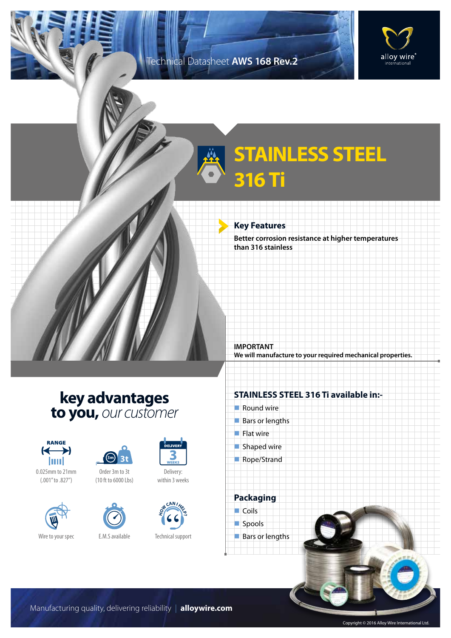## Technical Datasheet **AWS 168 Rev.2**



## **STAINLESS STEEL 316 Ti**

## **Key Features**

**Better corrosion resistance at higher temperatures than 316 stainless**

**key advantages to you,** *our customer*



0.025mm to 21mm (.001" to .827")





Order 3m to 3t (10 ft to 6000 Lbs)





Delivery: within 3 weeks



Technical support

## **STAINLESS STEEL 316 Ti available in:-**

**We will manufacture to your required mechanical properties.**

 $\blacksquare$  Round wire

**IMPORTANT**

- $Bars$  or lengths
- $\blacksquare$  Flat wire
- $\blacksquare$  Shaped wire
- Rope/Strand

**Packaging**  $\Box$  Coils



 $\blacksquare$  Bars or lengths

Manufacturing quality, delivering reliability | **alloywire.com**

Copyright © 2016 Alloy Wire International Ltd.